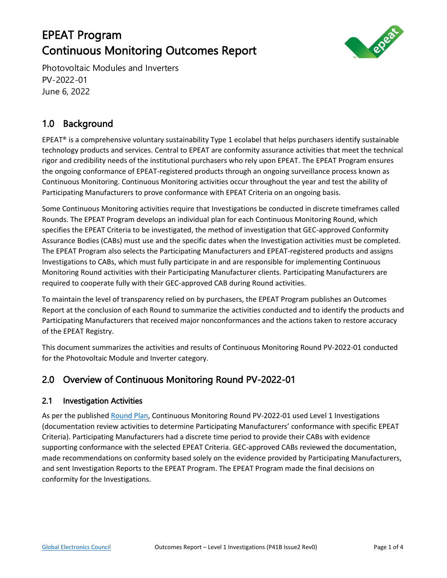# EPEAT Program Continuous Monitoring Outcomes Report



Photovoltaic Modules and Inverters PV-2022-01 June 6, 2022

## 1.0 Background

EPEAT® is a comprehensive voluntary sustainability Type 1 ecolabel that helps purchasers identify sustainable technology products and services. Central to EPEAT are conformity assurance activities that meet the technical rigor and credibility needs of the institutional purchasers who rely upon EPEAT. The EPEAT Program ensures the ongoing conformance of EPEAT-registered products through an ongoing surveillance process known as Continuous Monitoring. Continuous Monitoring activities occur throughout the year and test the ability of Participating Manufacturers to prove conformance with EPEAT Criteria on an ongoing basis.

Some Continuous Monitoring activities require that Investigations be conducted in discrete timeframes called Rounds. The EPEAT Program develops an individual plan for each Continuous Monitoring Round, which specifies the EPEAT Criteria to be investigated, the method of investigation that GEC-approved Conformity Assurance Bodies (CABs) must use and the specific dates when the Investigation activities must be completed. The EPEAT Program also selects the Participating Manufacturers and EPEAT-registered products and assigns Investigations to CABs, which must fully participate in and are responsible for implementing Continuous Monitoring Round activities with their Participating Manufacturer clients. Participating Manufacturers are required to cooperate fully with their GEC-approved CAB during Round activities.

To maintain the level of transparency relied on by purchasers, the EPEAT Program publishes an Outcomes Report at the conclusion of each Round to summarize the activities conducted and to identify the products and Participating Manufacturers that received major nonconformances and the actions taken to restore accuracy of the EPEAT Registry.

This document summarizes the activities and results of Continuous Monitoring Round PV-2022-01 conducted for the Photovoltaic Module and Inverter category.

### 2.0 Overview of Continuous Monitoring Round PV-2022-01

#### 2.1 Investigation Activities

As per the published [Round Plan,](https://globalelectronicscouncil.org/wp-content/uploads/PV-2022-01-Continuous-Monitoring-Round-Plan-FINAL.pdf) Continuous Monitoring Round PV-2022-01 used Level 1 Investigations (documentation review activities to determine Participating Manufacturers' conformance with specific EPEAT Criteria). Participating Manufacturers had a discrete time period to provide their CABs with evidence supporting conformance with the selected EPEAT Criteria. GEC-approved CABs reviewed the documentation, made recommendations on conformity based solely on the evidence provided by Participating Manufacturers, and sent Investigation Reports to the EPEAT Program. The EPEAT Program made the final decisions on conformity for the Investigations.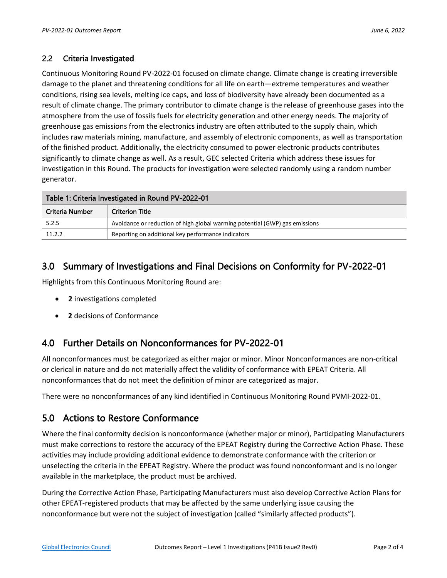#### 2.2 Criteria Investigated

Continuous Monitoring Round PV-2022-01 focused on climate change. Climate change is creating irreversible damage to the planet and threatening conditions for all life on earth—extreme temperatures and weather conditions, rising sea levels, melting ice caps, and loss of biodiversity have already been documented as a result of climate change. The primary contributor to climate change is the release of greenhouse gases into the atmosphere from the use of fossils fuels for electricity generation and other energy needs. The majority of greenhouse gas emissions from the electronics industry are often attributed to the supply chain, which includes raw materials mining, manufacture, and assembly of electronic components, as well as transportation of the finished product. Additionally, the electricity consumed to power electronic products contributes significantly to climate change as well. As a result, GEC selected Criteria which address these issues for investigation in this Round. The products for investigation were selected randomly using a random number generator.

| Table 1: Criteria Investigated in Round PV-2022-01 |                                                                             |  |  |  |
|----------------------------------------------------|-----------------------------------------------------------------------------|--|--|--|
| Criteria Number                                    | <b>Criterion Title</b>                                                      |  |  |  |
| 5.2.5                                              | Avoidance or reduction of high global warming potential (GWP) gas emissions |  |  |  |
| 11.2.2                                             | Reporting on additional key performance indicators                          |  |  |  |

### 3.0 Summary of Investigations and Final Decisions on Conformity for PV-2022-01

Highlights from this Continuous Monitoring Round are:

- **2** investigations completed
- **2** decisions of Conformance

### 4.0 Further Details on Nonconformances for PV-2022-01

All nonconformances must be categorized as either major or minor. Minor Nonconformances are non-critical or clerical in nature and do not materially affect the validity of conformance with EPEAT Criteria. All nonconformances that do not meet the definition of minor are categorized as major.

There were no nonconformances of any kind identified in Continuous Monitoring Round PVMI-2022-01.

### 5.0 Actions to Restore Conformance

Where the final conformity decision is nonconformance (whether major or minor), Participating Manufacturers must make corrections to restore the accuracy of the EPEAT Registry during the Corrective Action Phase. These activities may include providing additional evidence to demonstrate conformance with the criterion or unselecting the criteria in the EPEAT Registry. Where the product was found nonconformant and is no longer available in the marketplace, the product must be archived.

During the Corrective Action Phase, Participating Manufacturers must also develop Corrective Action Plans for other EPEAT-registered products that may be affected by the same underlying issue causing the nonconformance but were not the subject of investigation (called "similarly affected products").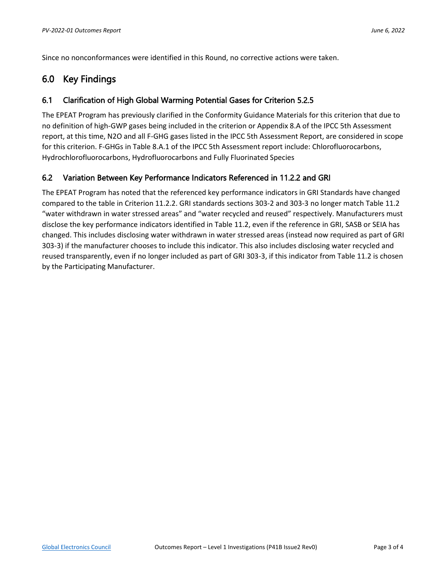Since no nonconformances were identified in this Round, no corrective actions were taken.

### 6.0 Key Findings

#### 6.1 Clarification of High Global Warming Potential Gases for Criterion 5.2.5

The EPEAT Program has previously clarified in the Conformity Guidance Materials for this criterion that due to no definition of high-GWP gases being included in the criterion or Appendix 8.A of the IPCC 5th Assessment report, at this time, N2O and all F-GHG gases listed in the IPCC 5th Assessment Report, are considered in scope for this criterion. F-GHGs in Table 8.A.1 of the IPCC 5th Assessment report include: Chlorofluorocarbons, Hydrochlorofluorocarbons, Hydrofluorocarbons and Fully Fluorinated Species

#### 6.2 Variation Between Key Performance Indicators Referenced in 11.2.2 and GRI

The EPEAT Program has noted that the referenced key performance indicators in GRI Standards have changed compared to the table in Criterion 11.2.2. GRI standards sections 303-2 and 303-3 no longer match Table 11.2 "water withdrawn in water stressed areas" and "water recycled and reused" respectively. Manufacturers must disclose the key performance indicators identified in Table 11.2, even if the reference in GRI, SASB or SEIA has changed. This includes disclosing water withdrawn in water stressed areas (instead now required as part of GRI 303-3) if the manufacturer chooses to include this indicator. This also includes disclosing water recycled and reused transparently, even if no longer included as part of GRI 303-3, if this indicator from Table 11.2 is chosen by the Participating Manufacturer.